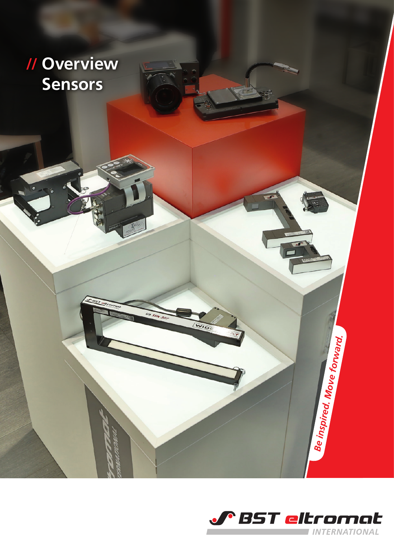



WIDE

*Be inspired. Move forward.*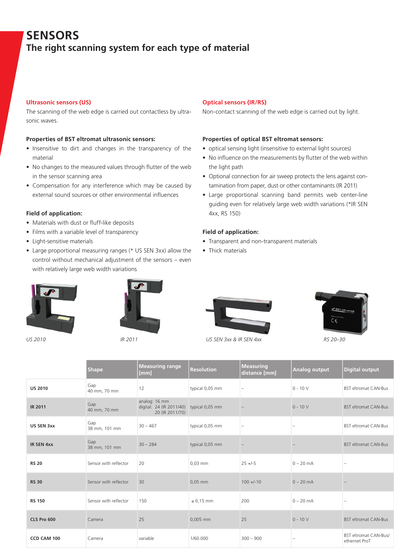# **SENSORS The right scanning system for each type of material**

# **Ultrasonic sensors (US)**

The scanning of the web edge is carried out contactless by ultrasonic waves.

## **Properties of BST eltromat ultrasonic sensors:**

- Insensitive to dirt and changes in the transparency of the material
- No changes to the measured values through flutter of the web in the sensor scanning area
- Compensation for any interference which may be caused by external sound sources or other environmental influences

## **Field of application:**

- Materials with dust or fluff-like deposits
- Films with a variable level of transparency
- Light-sensitive materials
- Large proportional measuring ranges (\* US SEN 3xx) allow the control without mechanical adjustment of the sensors – even with relatively large web width variations





## **Optical sensors (IR/RS)**

Non-contact scanning of the web edge is carried out by light.

#### **Properties of optical BST eltromat sensors:**

- optical sensing light (insensitive to external light sources)
- No influence on the measurements by flutter of the web within the light path
- Optional connection for air sweep protects the lens against contamination from paper, dust or other contaminants (IR 2011)
- Large proportional scanning band permits web center-line guiding even for relatively large web width variations (\*IR SEN 4xx, RS 150)

#### **Field of application:**

- Transparent and non-transparent materials
- Thick materials





*US 2010 IR 2011 US SEN 3xx & IR SEN 4xx RS 20–30*

|                | <b>Shape</b>          | <b>Measuring range</b><br>[mm]                                               | <b>Resolution</b> | Measuring<br>distance [mm] | Analog output | Digital output                         |
|----------------|-----------------------|------------------------------------------------------------------------------|-------------------|----------------------------|---------------|----------------------------------------|
| <b>US 2010</b> | Gap<br>40 mm, 70 mm   | 12                                                                           | typical 0,05 mm   |                            | $0 - 10 V$    | <b>BST eltromat CAN-Bus</b>            |
| <b>IR 2011</b> | Gap<br>40 mm, 70 mm   | analog: 16 mm<br>digital: 24 (IR 2011/40) typical 0,05 mm<br>20 (IR 2011/70) |                   |                            | $0 - 10 V$    | <b>BST eltromat CAN-Bus</b>            |
| US SEN 3xx     | Gap<br>38 mm, 101 mm  | $30 - 467$                                                                   | typical 0,05 mm   |                            |               | <b>BST eltromat CAN-Bus</b>            |
| IR SEN 4xx     | Gap<br>38 mm, 101 mm  | $30 - 284$                                                                   | typical 0,05 mm   |                            |               | <b>BST eltromat CAN-Bus</b>            |
| <b>RS 20</b>   | Sensor with reflector | 20                                                                           | 0,03 mm           | $25 + -5$                  | $0 - 20$ mA   |                                        |
| <b>RS 30</b>   | Sensor with reflector | 30                                                                           | 0,05 mm           | $100 + (-10)$              | $0 - 20$ mA   |                                        |
| <b>RS 150</b>  | Sensor with reflector | 150                                                                          | $\leq 0.15$ mm    | 200                        | $0 - 20$ mA   |                                        |
| CLS Pro 600    | Camera                | 25                                                                           | 0,005 mm          | 25                         | $0 - 10 V$    | <b>BST eltromat CAN-Bus</b>            |
| CCD CAM 100    | Camera                | variable                                                                     | 1/60.000          | $300 - 900$                |               | BST eltromat CAN-Bus/<br>ethernet ProT |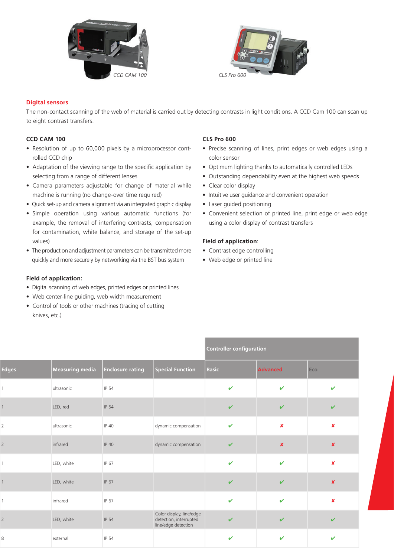



# **Digital sensors**

The non-contact scanning of the web of material is carried out by detecting contrasts in light conditions. A CCD Cam 100 can scan up to eight contrast transfers.

# **CCD CAM 100**

- Resolution of up to 60,000 pixels by a microprocessor controlled CCD chip
- Adaptation of the viewing range to the specific application by selecting from a range of different lenses
- Camera parameters adjustable for change of material while machine is running (no change-over time required)
- Quick set-up and camera alignment via an integrated graphic display
- Simple operation using various automatic functions (for example, the removal of interfering contrasts, compensation for contamination, white balance, and storage of the set-up values)
- The production and adjustment parameters can be transmitted more quickly and more securely by networking via the BST bus system

# **Field of application:**

- Digital scanning of web edges, printed edges or printed lines
- Web center-line guiding, web width measurement
- Control of tools or other machines (tracing of cutting knives, etc.)

# **CLS Pro 600**

- Precise scanning of lines, print edges or web edges using a color sensor
- Optimum lighting thanks to automatically controlled LEDs
- Outstanding dependability even at the highest web speeds
- Clear color display
- Intuitive user guidance and convenient operation
- Laser guided positioning
- Convenient selection of printed line, print edge or web edge using a color display of contrast transfers

## **Field of application**:

- Contrast edge controlling
- Web edge or printed line

|                |                 |                      |                                                                           |              | <b>Controller configuration</b> |                           |  |
|----------------|-----------------|----------------------|---------------------------------------------------------------------------|--------------|---------------------------------|---------------------------|--|
| Edges          | Measuring media | $ $ Enclosure rating | Special Function                                                          | Basic        | <b>Advanced</b>                 | Eco                       |  |
|                | ultrasonic      | IP 54                |                                                                           | $\mathbf{v}$ | $\checkmark$                    | $\sim$                    |  |
|                | LED, red        | IP 54                |                                                                           | $\mathbf{v}$ | $\checkmark$                    | $\mathbf{v}$              |  |
| $\overline{2}$ | ultrasonic      | IP 40                | dynamic compensation                                                      | $\mathbf{v}$ | $\pmb{\mathsf{x}}$              | $\mathbf{x}$              |  |
| 2              | infrared        | IP 40                | dynamic compensation                                                      | $\checkmark$ | $\boldsymbol{x}$                | $\boldsymbol{\mathsf{x}}$ |  |
|                | LED, white      | IP 67                |                                                                           | $\checkmark$ | $\checkmark$                    | $\boldsymbol{\mathsf{x}}$ |  |
| 1              | LED, white      | IP 67                |                                                                           | $\checkmark$ | $\checkmark$                    | $\boldsymbol{\mathsf{x}}$ |  |
|                | infrared        | IP 67                |                                                                           | $\mathbf{v}$ | $\checkmark$                    | $\boldsymbol{\mathsf{x}}$ |  |
| $2^{\circ}$    | LED, white      | IP 54                | Color display, line/edge<br>detection, interrupted<br>line/edge detection | $\checkmark$ | $\checkmark$                    | $\checkmark$              |  |
| 8              | external        | IP 54                |                                                                           | $\mathbf{v}$ | $\checkmark$                    | $\checkmark$              |  |